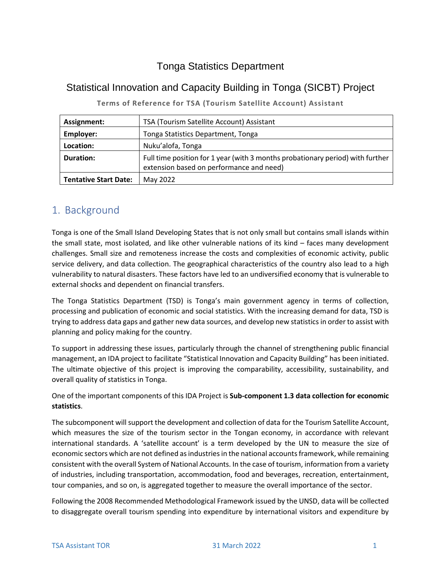## Tonga Statistics Department

#### Statistical Innovation and Capacity Building in Tonga (SICBT) Project

| Assignment:                  | TSA (Tourism Satellite Account) Assistant                                                                                  |
|------------------------------|----------------------------------------------------------------------------------------------------------------------------|
| Employer:                    | Tonga Statistics Department, Tonga                                                                                         |
| Location:                    | Nuku'alofa, Tonga                                                                                                          |
| <b>Duration:</b>             | Full time position for 1 year (with 3 months probationary period) with further<br>extension based on performance and need) |
| <b>Tentative Start Date:</b> | May 2022                                                                                                                   |

**Terms of Reference for TSA (Tourism Satellite Account) Assistant**

## 1. Background

Tonga is one of the Small Island Developing States that is not only small but contains small islands within the small state, most isolated, and like other vulnerable nations of its kind – faces many development challenges. Small size and remoteness increase the costs and complexities of economic activity, public service delivery, and data collection. The geographical characteristics of the country also lead to a high vulnerability to natural disasters. These factors have led to an undiversified economy that is vulnerable to external shocks and dependent on financial transfers.

The Tonga Statistics Department (TSD) is Tonga's main government agency in terms of collection, processing and publication of economic and social statistics. With the increasing demand for data, TSD is trying to address data gaps and gather new data sources, and develop new statistics in order to assist with planning and policy making for the country.

To support in addressing these issues, particularly through the channel of strengthening public financial management, an IDA project to facilitate "Statistical Innovation and Capacity Building" has been initiated. The ultimate objective of this project is improving the comparability, accessibility, sustainability, and overall quality of statistics in Tonga.

One of the important components of this IDA Project is **Sub-component 1.3 data collection for economic statistics**.

The subcomponent will support the development and collection of data for the Tourism Satellite Account, which measures the size of the tourism sector in the Tongan economy, in accordance with relevant international standards. A 'satellite account' is a term developed by the UN to measure the size of economic sectors which are not defined as industries in the national accounts framework, while remaining consistent with the overall System of National Accounts. In the case of tourism, information from a variety of industries, including transportation, accommodation, food and beverages, recreation, entertainment, tour companies, and so on, is aggregated together to measure the overall importance of the sector.

Following the 2008 Recommended Methodological Framework issued by the UNSD, data will be collected to disaggregate overall tourism spending into expenditure by international visitors and expenditure by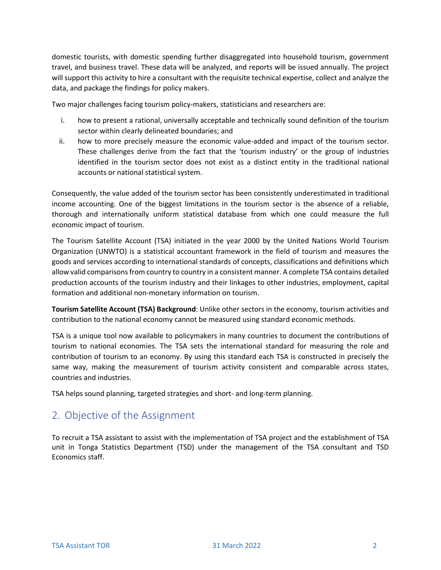domestic tourists, with domestic spending further disaggregated into household tourism, government travel, and business travel. These data will be analyzed, and reports will be issued annually. The project will support this activity to hire a consultant with the requisite technical expertise, collect and analyze the data, and package the findings for policy makers.

Two major challenges facing tourism policy-makers, statisticians and researchers are:

- i. how to present a rational, universally acceptable and technically sound definition of the tourism sector within clearly delineated boundaries; and
- ii. how to more precisely measure the economic value-added and impact of the tourism sector. These challenges derive from the fact that the 'tourism industry' or the group of industries identified in the tourism sector does not exist as a distinct entity in the traditional national accounts or national statistical system.

Consequently, the value added of the tourism sector has been consistently underestimated in traditional income accounting. One of the biggest limitations in the tourism sector is the absence of a reliable, thorough and internationally uniform statistical database from which one could measure the full economic impact of tourism.

The Tourism Satellite Account (TSA) initiated in the year 2000 by the United Nations World Tourism Organization (UNWTO) is a statistical accountant framework in the field of tourism and measures the goods and services according to international standards of concepts, classifications and definitions which allow valid comparisons from country to country in a consistent manner. A complete TSA contains detailed production accounts of the tourism industry and their linkages to other industries, employment, capital formation and additional non-monetary information on tourism.

**Tourism Satellite Account (TSA) Background**: Unlike other sectors in the economy, tourism activities and contribution to the national economy cannot be measured using standard economic methods.

TSA is a unique tool now available to policymakers in many countries to document the contributions of tourism to national economies. The TSA sets the international standard for measuring the role and contribution of tourism to an economy. By using this standard each TSA is constructed in precisely the same way, making the measurement of tourism activity consistent and comparable across states, countries and industries.

TSA helps sound planning, targeted strategies and short- and long-term planning.

### 2. Objective of the Assignment

To recruit a TSA assistant to assist with the implementation of TSA project and the establishment of TSA unit in Tonga Statistics Department (TSD) under the management of the TSA consultant and TSD Economics staff.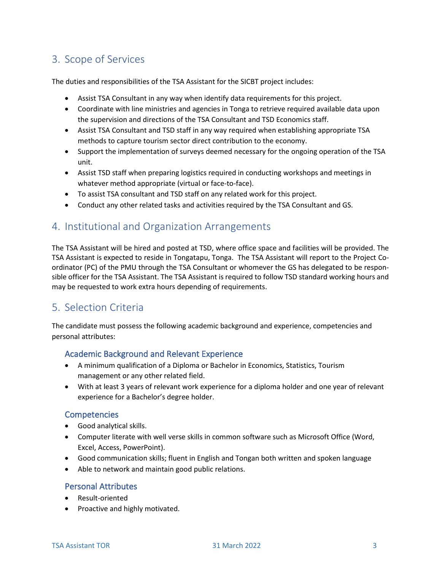# 3. Scope of Services

The duties and responsibilities of the TSA Assistant for the SICBT project includes:

- Assist TSA Consultant in any way when identify data requirements for this project.
- Coordinate with line ministries and agencies in Tonga to retrieve required available data upon the supervision and directions of the TSA Consultant and TSD Economics staff.
- Assist TSA Consultant and TSD staff in any way required when establishing appropriate TSA methods to capture tourism sector direct contribution to the economy.
- Support the implementation of surveys deemed necessary for the ongoing operation of the TSA unit.
- Assist TSD staff when preparing logistics required in conducting workshops and meetings in whatever method appropriate (virtual or face-to-face).
- To assist TSA consultant and TSD staff on any related work for this project.
- Conduct any other related tasks and activities required by the TSA Consultant and GS.

#### 4. Institutional and Organization Arrangements

The TSA Assistant will be hired and posted at TSD, where office space and facilities will be provided. The TSA Assistant is expected to reside in Tongatapu, Tonga. The TSA Assistant will report to the Project Coordinator (PC) of the PMU through the TSA Consultant or whomever the GS has delegated to be responsible officer for the TSA Assistant. The TSA Assistant is required to follow TSD standard working hours and may be requested to work extra hours depending of requirements.

### 5. Selection Criteria

The candidate must possess the following academic background and experience, competencies and personal attributes:

#### Academic Background and Relevant Experience

- A minimum qualification of a Diploma or Bachelor in Economics, Statistics, Tourism management or any other related field.
- With at least 3 years of relevant work experience for a diploma holder and one year of relevant experience for a Bachelor's degree holder.

#### **Competencies**

- Good analytical skills.
- Computer literate with well verse skills in common software such as Microsoft Office (Word, Excel, Access, PowerPoint).
- Good communication skills; fluent in English and Tongan both written and spoken language
- Able to network and maintain good public relations.

#### Personal Attributes

- Result-oriented
- Proactive and highly motivated.